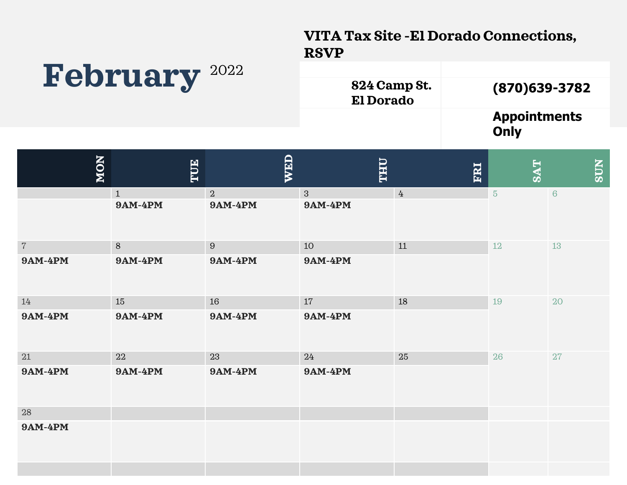#### **VITA Tax Site -El Dorado Connections, RSVP**

# **February** <sup>2022</sup>

| 824 Camp St.<br><b>El Dorado</b> | $(870)$ 639-3782            |
|----------------------------------|-----------------------------|
|                                  | <b>Appointments</b><br>Only |

| NON            | TUE                            | <b>WED</b>                       | <b>THU</b>                     | ERI             | <b>SAT</b>     | <b>NDS</b> |
|----------------|--------------------------------|----------------------------------|--------------------------------|-----------------|----------------|------------|
|                | $\mathbf{1}$<br><b>9AM-4PM</b> | $\overline{a}$<br><b>9AM-4PM</b> | $\mathbf{3}$<br><b>9AM-4PM</b> | $4\overline{ }$ | $\overline{5}$ | $\,6\,$    |
| $7\phantom{.}$ | $8\,$                          | $9\,$                            | 10                             | 11              | 12             | 13         |
| <b>9AM-4PM</b> | <b>9AM-4PM</b>                 | <b>9AM-4PM</b>                   | <b>9AM-4PM</b>                 |                 |                |            |
| 14             | 15                             | 16                               | 17                             | 18              | 19             | 20         |
| <b>9AM-4PM</b> | <b>9AM-4PM</b>                 | <b>9AM-4PM</b>                   | <b>9AM-4PM</b>                 |                 |                |            |
| 21             | 22                             | 23                               | 24                             | 25              | 26             | 27         |
| <b>9AM-4PM</b> | <b>9AM-4PM</b>                 | <b>9AM-4PM</b>                   | <b>9AM-4PM</b>                 |                 |                |            |
| 28             |                                |                                  |                                |                 |                |            |
| <b>9AM-4PM</b> |                                |                                  |                                |                 |                |            |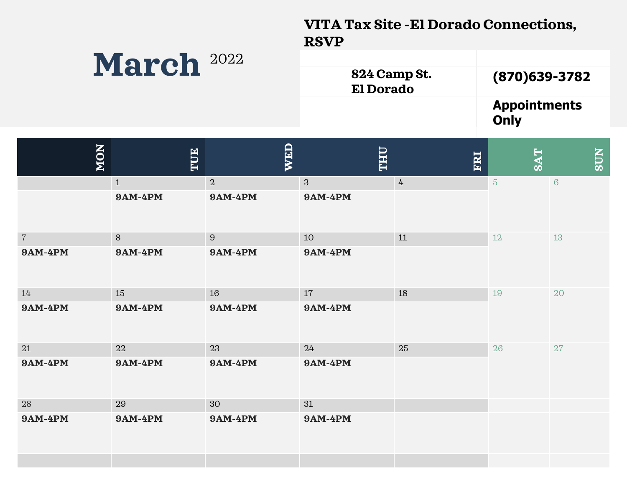### **VITA Tax Site -El Dorado Connections, RSVP**

## **March** <sup>2022</sup>

| 824 Camp St.<br><b>El Dorado</b> | $(870)$ 639-3782            |
|----------------------------------|-----------------------------|
|                                  | <b>Appointments</b><br>Only |

| <b>NON</b>      | TUE            | WED            | <b>LHL</b>     | ERI             | <b>SAT</b>     | <b>NICS</b>     |
|-----------------|----------------|----------------|----------------|-----------------|----------------|-----------------|
|                 | $\mathbf{1}$   | $\overline{2}$ | 3              | $4\overline{ }$ | $5\phantom{.}$ | $6\phantom{1}6$ |
|                 | <b>9AM-4PM</b> | <b>9AM-4PM</b> | <b>9AM-4PM</b> |                 |                |                 |
| $7\overline{ }$ | 8              | 9              | 10             | 11              | 12             | 13              |
| <b>9AM-4PM</b>  | <b>9AM-4PM</b> | <b>9AM-4PM</b> | <b>9AM-4PM</b> |                 |                |                 |
| 14              | 15             | 16             | 17             | 18              | 19             | 20              |
| <b>9AM-4PM</b>  | <b>9AM-4PM</b> | <b>9AM-4PM</b> | <b>9AM-4PM</b> |                 |                |                 |
| 21              | 22             | 23             | 24             | 25              | 26             | 27              |
| <b>9AM-4PM</b>  | <b>9AM-4PM</b> | <b>9AM-4PM</b> | <b>9AM-4PM</b> |                 |                |                 |
| 28              | 29             | 30             | 31             |                 |                |                 |
| <b>9AM-4PM</b>  | <b>9AM-4PM</b> | <b>9AM-4PM</b> | <b>9AM-4PM</b> |                 |                |                 |
|                 |                |                |                |                 |                |                 |